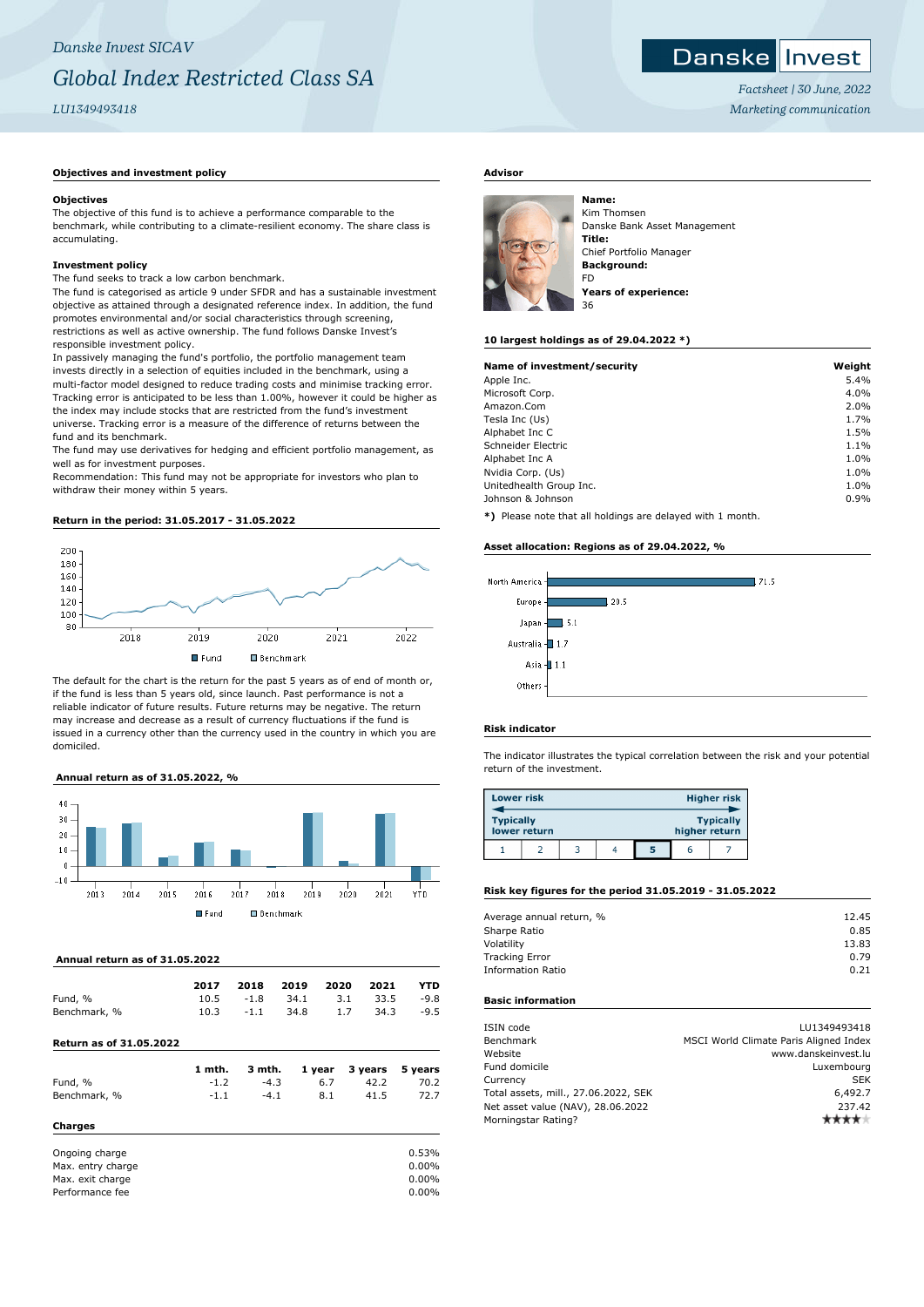## **Objectives and investment policy**

#### **Objectives**

The objective of this fund is to achieve a performance comparable to the benchmark, while contributing to a climate-resilient economy. The share class is accumulating.

## **Investment policy**

The fund seeks to track a low carbon benchmark.

The fund is categorised as article 9 under SFDR and has a sustainable investment objective as attained through a designated reference index. In addition, the fund promotes environmental and/or social characteristics through screening, restrictions as well as active ownership. The fund follows Danske Invest's responsible investment policy.

In passively managing the fund's portfolio, the portfolio management team invests directly in a selection of equities included in the benchmark, using a multi-factor model designed to reduce trading costs and minimise tracking error. Tracking error is anticipated to be less than 1.00%, however it could be higher as the index may include stocks that are restricted from the fund's investment universe. Tracking error is a measure of the difference of returns between the fund and its benchmark.

The fund may use derivatives for hedging and efficient portfolio management, as well as for investment purposes.

Recommendation: This fund may not be appropriate for investors who plan to withdraw their money within 5 years.

# **Return in the period: 31.05.2017 - 31.05.2022**



The default for the chart is the return for the past 5 years as of end of month or, if the fund is less than 5 years old, since launch. Past performance is not a reliable indicator of future results. Future returns may be negative. The return may increase and decrease as a result of currency fluctuations if the fund is issued in a currency other than the currency used in the country in which you are domiciled.

## **Annual return as of 31.05.2022, %**



### **Annual return as of 31.05.2022**

|                                | 1 mth. | 3 mth. |      | 1 year 3 years |      | 5 vears |
|--------------------------------|--------|--------|------|----------------|------|---------|
| <b>Return as of 31.05.2022</b> |        |        |      |                |      |         |
| Benchmark, %                   | 10.3   | $-1.1$ | 34.8 | 1.7            | 34.3 | $-9.5$  |
| Fund, %                        | 10.5   | $-1.8$ | 34.1 | 3.1            | 33.5 | $-9.8$  |
|                                | 2017   | 2018   | 2019 | 2020           | 2021 | YTD     |

| Fund, %        |        | $-4.3$ |     | 42.2 | 70.2  |
|----------------|--------|--------|-----|------|-------|
| Benchmark, %   | $-1.1$ | $-4.1$ | 8.1 | 41.5 | 72.7  |
| Charges        |        |        |     |      |       |
| Ongoing charge |        |        |     |      | 0.53% |

| Max. entry charge | $0.00\%$ |
|-------------------|----------|
| Max. exit charge  | 0.00%    |
| Performance fee   | $0.00\%$ |

# **Advisor**



Kim Thomsen Danske Bank Asset Management **Title:** Chief Portfolio Manager **Background:** FD **Years of experience:** 36

#### **10 largest holdings as of 29.04.2022 \*)**

| Name of investment/security | Weight |
|-----------------------------|--------|
| Apple Inc.                  | 5.4%   |
| Microsoft Corp.             | 4.0%   |
| Amazon.Com                  | 2.0%   |
| Tesla Inc (Us)              | 1.7%   |
| Alphabet Inc C              | 1.5%   |
| Schneider Electric          | 1.1%   |
| Alphabet Inc A              | 1.0%   |
| Nvidia Corp. (Us)           | 1.0%   |
| Unitedhealth Group Inc.     | 1.0%   |
| Johnson & Johnson           | 0.9%   |
|                             |        |

**\*)** Please note that all holdings are delayed with 1 month.

#### **Asset allocation: Regions as of 29.04.2022, %**



#### **Risk indicator**

The indicator illustrates the typical correlation between the risk and your potential return of the investment.

| <b>Lower risk</b> |              |  |               | <b>Higher risk</b> |
|-------------------|--------------|--|---------------|--------------------|
| <b>Typically</b>  | lower return |  | higher return | <b>Typically</b>   |
|                   |              |  |               |                    |

# **Risk key figures for the period 31.05.2019 - 31.05.2022**

| Average annual return, % | 12.45 |
|--------------------------|-------|
| Sharpe Ratio             | 0.85  |
| Volatility               | 13.83 |
| <b>Tracking Error</b>    | 0.79  |
| <b>Information Ratio</b> | 0.21  |
|                          |       |

# **Basic information**

| ISIN code                            | LU1349493418                           |
|--------------------------------------|----------------------------------------|
| Benchmark                            | MSCI World Climate Paris Aligned Index |
| Website                              | www.danskeinvest.lu                    |
| Fund domicile                        | Luxembourg                             |
| Currency                             | <b>SEK</b>                             |
| Total assets, mill., 27.06.2022, SEK | 6,492.7                                |
| Net asset value (NAV), 28.06.2022    | 237.42                                 |
| Morningstar Rating?                  |                                        |
|                                      |                                        |

*Factsheet | 30 June, 2022 Marketing communication*